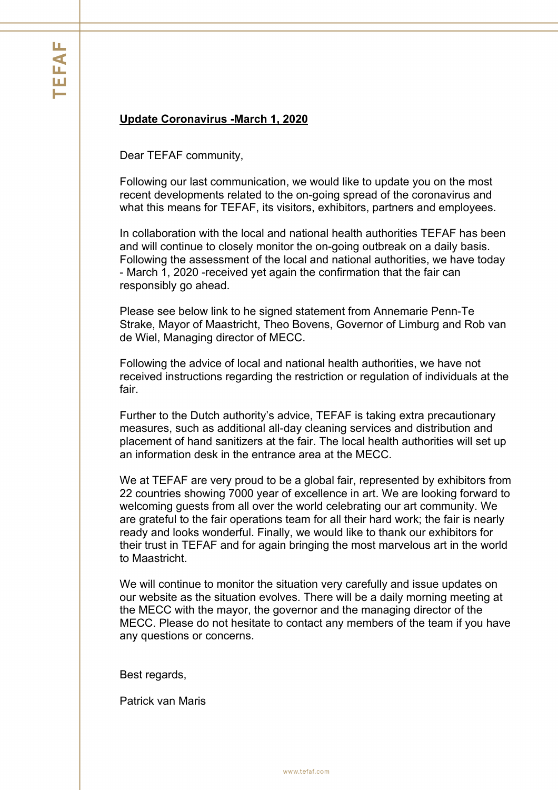## **Update Coronavirus -March 1, 2020**

Dear TEFAF community,

Following our last communication, we would like to update you on the most recent developments related to the on-going spread of the coronavirus and what this means for TEFAF, its visitors, exhibitors, partners and employees.

In collaboration with the local and national health authorities TEFAF has been and will continue to closely monitor the on-going outbreak on a daily basis. Following the assessment of the local and national authorities, we have today - March 1, 2020 -received yet again the confirmation that the fair can responsibly go ahead.

Please see below link to he signed statement from Annemarie Penn-Te Strake, Mayor of Maastricht, Theo Bovens, Governor of Limburg and Rob van de Wiel, Managing director of MECC.

Following the advice of local and national health authorities, we have not received instructions regarding the restriction or regulation of individuals at the fair.

Further to the Dutch authority's advice, TEFAF is taking extra precautionary measures, such as additional all-day cleaning services and distribution and placement of hand sanitizers at the fair. The local health authorities will set up an information desk in the entrance area at the MECC.

We at TEFAF are very proud to be a global fair, represented by exhibitors from 22 countries showing 7000 year of excellence in art. We are looking forward to welcoming guests from all over the world celebrating our art community. We are grateful to the fair operations team for all their hard work; the fair is nearly ready and looks wonderful. Finally, we would like to thank our exhibitors for their trust in TEFAF and for again bringing the most marvelous art in the world to Maastricht.

We will continue to monitor the situation very carefully and issue updates on our website as the situation evolves. There will be a daily morning meeting at the MECC with the mayor, the governor and the managing director of the MECC. Please do not hesitate to contact any members of the team if you have any questions or concerns.

Best regards,

Patrick van Maris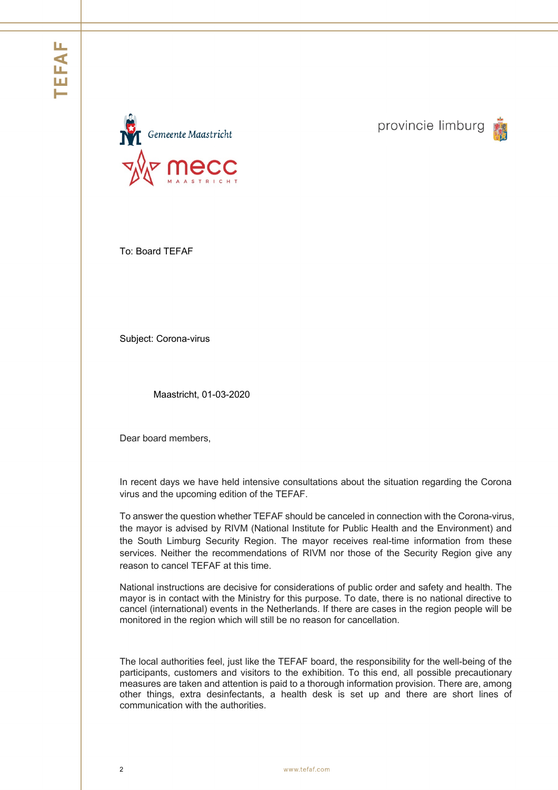

provincie limburg



To: Board TEFAF

Subject: Corona-virus

Maastricht, 01-03-2020

Dear board members,

In recent days we have held intensive consultations about the situation regarding the Corona virus and the upcoming edition of the TEFAF.

To answer the question whether TEFAF should be canceled in connection with the Corona-virus, the mayor is advised by RIVM (National Institute for Public Health and the Environment) and the South Limburg Security Region. The mayor receives real-time information from these services. Neither the recommendations of RIVM nor those of the Security Region give any reason to cancel TEFAF at this time.

National instructions are decisive for considerations of public order and safety and health. The mayor is in contact with the Ministry for this purpose. To date, there is no national directive to cancel (international) events in the Netherlands. If there are cases in the region people will be monitored in the region which will still be no reason for cancellation.

The local authorities feel, just like the TEFAF board, the responsibility for the well-being of the participants, customers and visitors to the exhibition. To this end, all possible precautionary measures are taken and attention is paid to a thorough information provision. There are, among other things, extra desinfectants, a health desk is set up and there are short lines of communication with the authorities.